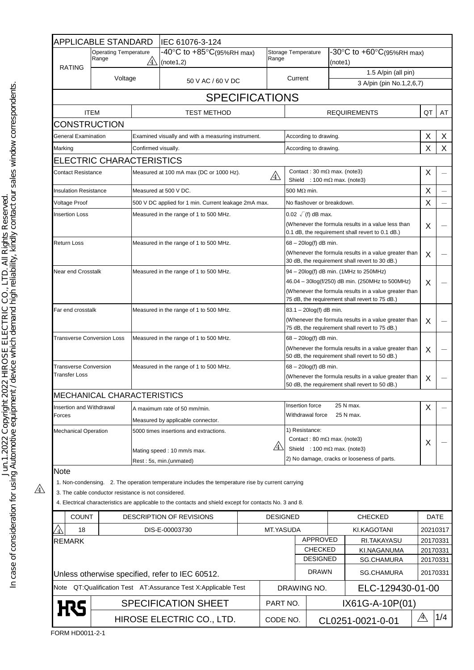|                                                                   | APPLICABLE STANDARD                                  |                                                                                                             | IEC 61076-3-124                                                                                          |           |                                                                                                                                       |                                                                                                                                                                                                      |                                      |                          |                                  |             |                      |
|-------------------------------------------------------------------|------------------------------------------------------|-------------------------------------------------------------------------------------------------------------|----------------------------------------------------------------------------------------------------------|-----------|---------------------------------------------------------------------------------------------------------------------------------------|------------------------------------------------------------------------------------------------------------------------------------------------------------------------------------------------------|--------------------------------------|--------------------------|----------------------------------|-------------|----------------------|
|                                                                   | <b>Operating Temperature</b><br>Range<br>$\sqrt{4}$  |                                                                                                             | $-40^{\circ}$ C to $+85^{\circ}$ C(95%RH max)<br>Range<br>(note1,2)                                      |           | Storage Temperature                                                                                                                   |                                                                                                                                                                                                      | -30°C to +60°C(95%RH max)<br>(note1) |                          |                                  |             |                      |
| <b>RATING</b>                                                     | Voltage                                              |                                                                                                             |                                                                                                          |           |                                                                                                                                       |                                                                                                                                                                                                      |                                      | 1.5 A/pin (all pin)      |                                  |             |                      |
|                                                                   |                                                      | 50 V AC / 60 V DC                                                                                           |                                                                                                          |           | Current                                                                                                                               |                                                                                                                                                                                                      |                                      | 3 A/pin (pin No.1,2,6,7) |                                  |             |                      |
|                                                                   |                                                      |                                                                                                             | <b>SPECIFICATIONS</b>                                                                                    |           |                                                                                                                                       |                                                                                                                                                                                                      |                                      |                          |                                  |             |                      |
|                                                                   | <b>ITEM</b>                                          |                                                                                                             | <b>TEST METHOD</b>                                                                                       |           |                                                                                                                                       | <b>REQUIREMENTS</b>                                                                                                                                                                                  |                                      |                          | QT                               | AT          |                      |
| <b>CONSTRUCTION</b>                                               |                                                      |                                                                                                             |                                                                                                          |           |                                                                                                                                       |                                                                                                                                                                                                      |                                      |                          |                                  |             |                      |
| General Examination                                               |                                                      | Examined visually and with a measuring instrument.                                                          |                                                                                                          |           |                                                                                                                                       | According to drawing.                                                                                                                                                                                |                                      |                          |                                  |             | X                    |
| Marking                                                           |                                                      | Confirmed visually.                                                                                         |                                                                                                          |           | According to drawing.                                                                                                                 |                                                                                                                                                                                                      |                                      |                          | X                                | X           |                      |
|                                                                   | ELECTRIC CHARACTERISTICS                             |                                                                                                             |                                                                                                          |           |                                                                                                                                       |                                                                                                                                                                                                      |                                      |                          |                                  |             |                      |
| <b>Contact Resistance</b>                                         |                                                      | Measured at 100 mA max (DC or 1000 Hz).<br>$\sqrt{4}$                                                       |                                                                                                          |           |                                                                                                                                       | Contact: 30 m $\Omega$ max. (note3)<br>Shield : 100 m $\Omega$ max. (note3)                                                                                                                          |                                      |                          |                                  |             |                      |
|                                                                   | <b>Insulation Resistance</b>                         |                                                                                                             | Measured at 500 V DC.                                                                                    |           |                                                                                                                                       | 500 M $\Omega$ min.                                                                                                                                                                                  |                                      |                          |                                  | X           |                      |
| Voltage Proof                                                     |                                                      | 500 V DC applied for 1 min. Current leakage 2mA max.                                                        |                                                                                                          |           |                                                                                                                                       | No flashover or breakdown.                                                                                                                                                                           |                                      |                          | X                                |             |                      |
| <b>Insertion Loss</b>                                             |                                                      | Measured in the range of 1 to 500 MHz.                                                                      |                                                                                                          |           | $0.02 \sqrt{f}$ (f) dB max.<br>(Whenever the formula results in a value less than<br>0.1 dB, the requirement shall revert to 0.1 dB.) |                                                                                                                                                                                                      |                                      |                          | X                                |             |                      |
| Return Loss                                                       |                                                      | Measured in the range of 1 to 500 MHz.                                                                      |                                                                                                          |           | $68 - 20\log(f)$ dB min.<br>(Whenever the formula results in a value greater than<br>30 dB, the requirement shall revert to 30 dB.)   |                                                                                                                                                                                                      |                                      | X                        |                                  |             |                      |
| Near end Crosstalk                                                |                                                      | Measured in the range of 1 to 500 MHz.                                                                      |                                                                                                          |           |                                                                                                                                       | 94 - 20log(f) dB min. (1MHz to 250MHz)<br>46.04 - 30log(f/250) dB min. (250MHz to 500MHz)<br>(Whenever the formula results in a value greater than<br>75 dB, the requirement shall revert to 75 dB.) |                                      |                          | X                                |             |                      |
| Far end crosstalk                                                 |                                                      | Measured in the range of 1 to 500 MHz.                                                                      |                                                                                                          |           | 83.1 - 20log(f) dB min.<br>(Whenever the formula results in a value greater than<br>75 dB, the requirement shall revert to 75 dB.)    |                                                                                                                                                                                                      |                                      |                          | X                                |             |                      |
| <b>Transverse Conversion Loss</b>                                 |                                                      | Measured in the range of 1 to 500 MHz.                                                                      |                                                                                                          |           | $68 - 20\log(f)$ dB min.<br>(Whenever the formula results in a value greater than<br>50 dB, the requirement shall revert to 50 dB.)   |                                                                                                                                                                                                      |                                      |                          | X                                |             |                      |
| <b>Transverse Conversion</b><br><b>Transfer Loss</b>              |                                                      | Measured in the range of 1 to 500 MHz.                                                                      |                                                                                                          |           | 68 - 20log(f) dB min.<br>(Whenever the formula results in a value greater than<br>50 dB, the requirement shall revert to 50 dB.)      |                                                                                                                                                                                                      |                                      |                          | X                                |             |                      |
|                                                                   | <b>MECHANICAL CHARACTERISTICS</b>                    |                                                                                                             |                                                                                                          |           |                                                                                                                                       |                                                                                                                                                                                                      |                                      |                          |                                  |             |                      |
| Insertion and Withdrawal<br>Forces<br><b>Mechanical Operation</b> |                                                      | A maximum rate of 50 mm/min.<br>Measured by applicable connector.<br>5000 times insertions and extractions. |                                                                                                          |           |                                                                                                                                       | Insertion force<br>25 N max.<br>Withdrawal force<br>25 N max.                                                                                                                                        |                                      |                          |                                  | X           |                      |
|                                                                   |                                                      |                                                                                                             |                                                                                                          |           | 1) Resistance:                                                                                                                        |                                                                                                                                                                                                      |                                      |                          |                                  |             |                      |
|                                                                   |                                                      |                                                                                                             | /4\<br>Mating speed: 10 mm/s max.<br>Rest: 5s, min.(unmated)                                             |           |                                                                                                                                       | Contact: 80 m $\Omega$ max. (note3)<br>Shield : 100 m $\Omega$ max. (note3)<br>2) No damage, cracks or looseness of parts.                                                                           |                                      |                          | X                                |             |                      |
| Note                                                              |                                                      |                                                                                                             |                                                                                                          |           |                                                                                                                                       |                                                                                                                                                                                                      |                                      |                          |                                  |             |                      |
|                                                                   | 3. The cable conductor resistance is not considered. |                                                                                                             | 1. Non-condensing. 2. The operation temperature includes the temperature rise by current carrying        |           |                                                                                                                                       |                                                                                                                                                                                                      |                                      |                          |                                  |             |                      |
|                                                                   |                                                      |                                                                                                             | 4. Electrical characteristics are applicable to the contacts and shield except for contacts No. 3 and 8. |           |                                                                                                                                       |                                                                                                                                                                                                      |                                      |                          |                                  |             |                      |
| <b>COUNT</b>                                                      |                                                      | DESCRIPTION OF REVISIONS                                                                                    |                                                                                                          |           | <b>DESIGNED</b>                                                                                                                       |                                                                                                                                                                                                      | <b>CHECKED</b>                       |                          |                                  | <b>DATE</b> |                      |
| 18                                                                |                                                      | DIS-E-00003730                                                                                              |                                                                                                          | MT.YASUDA |                                                                                                                                       |                                                                                                                                                                                                      |                                      | KI.KAGOTANI              |                                  | 20210317    |                      |
| <b>REMARK</b>                                                     |                                                      |                                                                                                             |                                                                                                          |           |                                                                                                                                       |                                                                                                                                                                                                      | APPROVED<br><b>CHECKED</b>           |                          | RI.TAKAYASU                      |             | 20170331             |
|                                                                   |                                                      |                                                                                                             |                                                                                                          |           |                                                                                                                                       |                                                                                                                                                                                                      | <b>DESIGNED</b>                      |                          | KI.NAGANUMA<br><b>SG.CHAMURA</b> |             | 20170331<br>20170331 |
| Unless otherwise specified, refer to IEC 60512.                   |                                                      |                                                                                                             |                                                                                                          |           |                                                                                                                                       |                                                                                                                                                                                                      | <b>DRAWN</b>                         | <b>SG.CHAMURA</b>        |                                  | 20170331    |                      |
| Note QT:Qualification Test AT:Assurance Test X:Applicable Test    |                                                      |                                                                                                             |                                                                                                          |           |                                                                                                                                       | ELC-129430-01-00<br>DRAWING NO.                                                                                                                                                                      |                                      |                          |                                  |             |                      |
| <b>SPECIFICATION SHEET</b>                                        |                                                      |                                                                                                             |                                                                                                          |           | PART NO.                                                                                                                              |                                                                                                                                                                                                      |                                      | IX61G-A-10P(01)          |                                  |             |                      |
|                                                                   |                                                      | HIROSE ELECTRIC CO., LTD.                                                                                   |                                                                                                          |           | CODE NO.                                                                                                                              |                                                                                                                                                                                                      |                                      |                          | $\mathbb{A}$<br>CL0251-0021-0-01 |             | 1/4                  |

FORM HD0011-2-1

 $\mathbb{A}$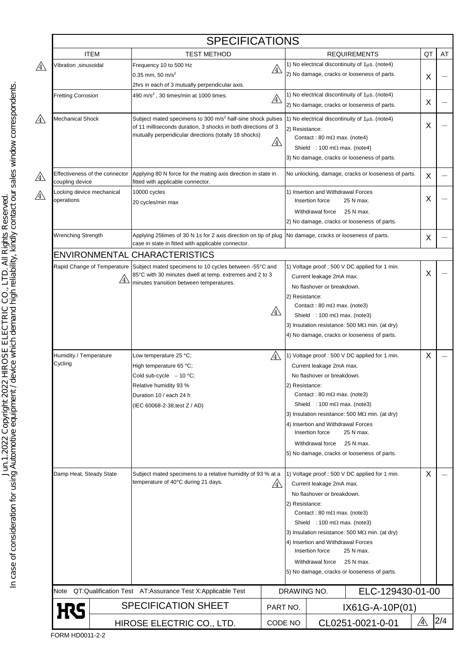|                                                                      |                                           | <b>SPECIFICATIONS</b>                                                                                                                                                                                                                                                                             |              |                                                                                                                                                                                                      |                                                                                                                                                                                                                                                                                                                                                                                                                                                                                                                                                                                                                                                                                                                                                                                                                                                      |    |    |  |
|----------------------------------------------------------------------|-------------------------------------------|---------------------------------------------------------------------------------------------------------------------------------------------------------------------------------------------------------------------------------------------------------------------------------------------------|--------------|------------------------------------------------------------------------------------------------------------------------------------------------------------------------------------------------------|------------------------------------------------------------------------------------------------------------------------------------------------------------------------------------------------------------------------------------------------------------------------------------------------------------------------------------------------------------------------------------------------------------------------------------------------------------------------------------------------------------------------------------------------------------------------------------------------------------------------------------------------------------------------------------------------------------------------------------------------------------------------------------------------------------------------------------------------------|----|----|--|
|                                                                      | <b>ITEM</b>                               | <b>TEST METHOD</b>                                                                                                                                                                                                                                                                                |              |                                                                                                                                                                                                      | <b>REQUIREMENTS</b>                                                                                                                                                                                                                                                                                                                                                                                                                                                                                                                                                                                                                                                                                                                                                                                                                                  | QT | AT |  |
| Vibration ,sinusoidal                                                |                                           | Frequency 10 to 500 Hz<br>$0.35$ mm, 50 m/s <sup>2</sup>                                                                                                                                                                                                                                          | $\mathbb{A}$ |                                                                                                                                                                                                      | 1) No electrical discontinuity of $1\mu s$ . (note4)<br>2) No damage, cracks or looseness of parts.                                                                                                                                                                                                                                                                                                                                                                                                                                                                                                                                                                                                                                                                                                                                                  |    |    |  |
|                                                                      |                                           | 2hrs in each of 3 mutually perpendicular axis.                                                                                                                                                                                                                                                    |              |                                                                                                                                                                                                      |                                                                                                                                                                                                                                                                                                                                                                                                                                                                                                                                                                                                                                                                                                                                                                                                                                                      | X  |    |  |
| <b>Fretting Corrosion</b>                                            |                                           | 490 m/s <sup>2</sup> , 30 times/min at 1000 times.                                                                                                                                                                                                                                                |              |                                                                                                                                                                                                      | 1) No electrical discontinuity of $1\mu s$ . (note4)                                                                                                                                                                                                                                                                                                                                                                                                                                                                                                                                                                                                                                                                                                                                                                                                 |    |    |  |
|                                                                      |                                           | $\mathbb{A}$                                                                                                                                                                                                                                                                                      |              | 2) No damage, cracks or looseness of parts.                                                                                                                                                          | X                                                                                                                                                                                                                                                                                                                                                                                                                                                                                                                                                                                                                                                                                                                                                                                                                                                    |    |    |  |
| Mechanical Shock                                                     |                                           | Subject mated specimens to 300 m/s <sup>2</sup> half-sine shock pulses<br>of 11 milliseconds duration, 3 shocks in both directions of 3<br>mutually perpendicular directions (totally 18 shocks)<br><u>/4\</u>                                                                                    |              | 1) No electrical discontinuity of $1\mu s$ . (note4)<br>2) Resistance:<br>Contact: 80 m $\Omega$ max. (note4)<br>Shield : 100 m $\Omega$ max. (note4)<br>3) No damage, cracks or looseness of parts. |                                                                                                                                                                                                                                                                                                                                                                                                                                                                                                                                                                                                                                                                                                                                                                                                                                                      |    |    |  |
| Effectiveness of the connector<br>coupling device                    |                                           | Applying 80 N force for the mating axis direction in state in<br>fitted with applicable connector.                                                                                                                                                                                                |              |                                                                                                                                                                                                      | No unlocking, damage, cracks or looseness of parts.                                                                                                                                                                                                                                                                                                                                                                                                                                                                                                                                                                                                                                                                                                                                                                                                  |    |    |  |
| Locking device mechanical<br>operations<br><b>Wrenching Strength</b> |                                           | 10000 cycles<br>20 cycles/min max                                                                                                                                                                                                                                                                 |              |                                                                                                                                                                                                      | 1) Insertion and Withdrawal Forces<br>Insertion force<br>25 N max.<br>Withdrawal force<br>25 N max.<br>2) No damage, cracks or looseness of parts.                                                                                                                                                                                                                                                                                                                                                                                                                                                                                                                                                                                                                                                                                                   | Χ  |    |  |
|                                                                      |                                           | Applying 25times of 30 N 1s for 2 axis direction on tip of plug<br>case in state in fitted with applicable connector.                                                                                                                                                                             |              |                                                                                                                                                                                                      | No damage, cracks or looseness of parts.                                                                                                                                                                                                                                                                                                                                                                                                                                                                                                                                                                                                                                                                                                                                                                                                             |    |    |  |
|                                                                      |                                           | ENVIRONMENTAL CHARACTERISTICS                                                                                                                                                                                                                                                                     |              |                                                                                                                                                                                                      |                                                                                                                                                                                                                                                                                                                                                                                                                                                                                                                                                                                                                                                                                                                                                                                                                                                      |    |    |  |
|                                                                      | Rapid Change of Temperature<br>$\angle 4$ | Subject mated specimens to 10 cycles between -55°C and<br>85°C with 30 minutes dwell at temp. extremes and 2 to 3<br>minutes transition between temperatures.                                                                                                                                     | $\mathbb{A}$ | 2) Resistance:                                                                                                                                                                                       | 1) Voltage proof: 500 V DC applied for 1 min.<br>Current leakage 2mA max.<br>No flashover or breakdown.<br>Contact: 80 m $\Omega$ max. (note3)<br>Shield : 100 m $\Omega$ max. (note3)<br>3) Insulation resistance: 500 M $\Omega$ min. (at dry)<br>4) No damage, cracks or looseness of parts.                                                                                                                                                                                                                                                                                                                                                                                                                                                                                                                                                      | X  |    |  |
| Humidity / Temperature<br>Cycling<br>Damp Heat, Steady State         |                                           | Low temperature 25 °C;<br>/4<br>High temperature 65 °C;<br>Cold sub-cycle $-10$ °C;<br>Relative humidity 93 %<br>Duration 10 / each 24 h<br>(IEC 60068-2-38, test Z / AD)<br>Subject mated specimens to a relative humidity of 93 % at a<br>temperature of 40°C during 21 days.<br>$/4\backslash$ |              |                                                                                                                                                                                                      | 1) Voltage proof: 500 V DC applied for 1 min.<br>Current leakage 2mA max.<br>No flashover or breakdown.<br>2) Resistance:<br>Contact: 80 m $\Omega$ max. (note3)<br>Shield : 100 m $\Omega$ max. (note3)<br>3) Insulation resistance: 500 M $\Omega$ min. (at dry)<br>4) Insertion and Withdrawal Forces<br>25 N max.<br>Insertion force<br>Withdrawal force<br>25 N max.<br>5) No damage, cracks or looseness of parts.<br>1) Voltage proof: 500 V DC applied for 1 min.<br>Current leakage 2mA max.<br>No flashover or breakdown.<br>2) Resistance:<br>Contact: 80 m $\Omega$ max. (note3)<br>Shield : 100 m $\Omega$ max. (note3)<br>3) Insulation resistance: 500 M $\Omega$ min. (at dry)<br>4) Insertion and Withdrawal Forces<br>25 N max.<br>Insertion force<br>25 N max.<br>Withdrawal force<br>5) No damage, cracks or looseness of parts. |    |    |  |
|                                                                      |                                           |                                                                                                                                                                                                                                                                                                   |              |                                                                                                                                                                                                      |                                                                                                                                                                                                                                                                                                                                                                                                                                                                                                                                                                                                                                                                                                                                                                                                                                                      |    |    |  |
| <b>H</b> S                                                           |                                           | <b>SPECIFICATION SHEET</b>                                                                                                                                                                                                                                                                        |              | PART NO.<br>IX61G-A-10P(01)                                                                                                                                                                          |                                                                                                                                                                                                                                                                                                                                                                                                                                                                                                                                                                                                                                                                                                                                                                                                                                                      |    |    |  |
|                                                                      | HIROSE ELECTRIC CO., LTD.                 |                                                                                                                                                                                                                                                                                                   |              | CODE NO                                                                                                                                                                                              | Λ<br>CL0251-0021-0-01                                                                                                                                                                                                                                                                                                                                                                                                                                                                                                                                                                                                                                                                                                                                                                                                                                |    |    |  |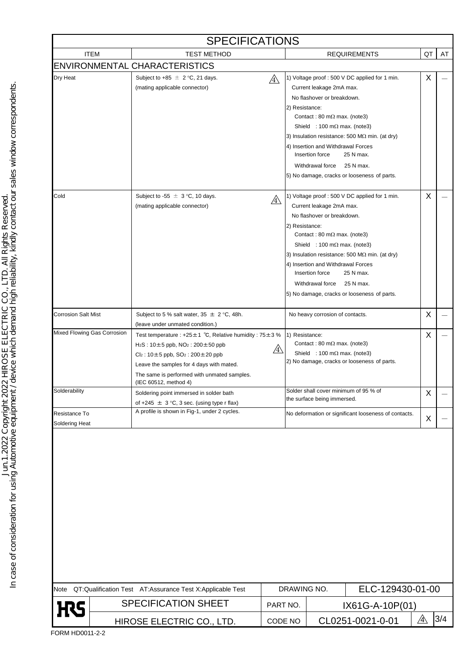| <b>SPECIFICATIONS</b>           |                           |                                                                                                                                                                                                                                                                                            |                                 |                |                                                                                                                                                                                                                    |                                                                                                                                                                                   |    |     |  |  |
|---------------------------------|---------------------------|--------------------------------------------------------------------------------------------------------------------------------------------------------------------------------------------------------------------------------------------------------------------------------------------|---------------------------------|----------------|--------------------------------------------------------------------------------------------------------------------------------------------------------------------------------------------------------------------|-----------------------------------------------------------------------------------------------------------------------------------------------------------------------------------|----|-----|--|--|
|                                 | <b>ITEM</b>               | <b>TEST METHOD</b>                                                                                                                                                                                                                                                                         |                                 |                |                                                                                                                                                                                                                    | <b>REQUIREMENTS</b>                                                                                                                                                               | QT | AT  |  |  |
|                                 |                           | <b>ENVIRONMENTAL CHARACTERISTICS</b>                                                                                                                                                                                                                                                       |                                 |                |                                                                                                                                                                                                                    |                                                                                                                                                                                   |    |     |  |  |
| Dry Heat                        |                           | Subject to +85 $\pm$ 2 °C, 21 days.<br>(mating applicable connector)                                                                                                                                                                                                                       | $\mathbb{A}$                    | 2) Resistance: | Current leakage 2mA max.<br>No flashover or breakdown.<br>Contact: 80 m $\Omega$ max. (note3)<br>Shield : 100 m $\Omega$ max. (note3)<br>4) Insertion and Withdrawal Forces<br>Insertion force<br>Withdrawal force | 1) Voltage proof : 500 V DC applied for 1 min.<br>3) Insulation resistance: 500 M $\Omega$ min. (at dry)<br>25 N max.<br>25 N max.<br>5) No damage, cracks or looseness of parts. | X  |     |  |  |
| Cold                            |                           | Subject to -55 $\pm$ 3 °C, 10 days.<br>(mating applicable connector)                                                                                                                                                                                                                       | /4                              | 2) Resistance: | Current leakage 2mA max.<br>No flashover or breakdown.<br>Contact: 80 m $\Omega$ max. (note3)<br>Shield : 100 m $\Omega$ max. (note3)<br>4) Insertion and Withdrawal Forces<br>Insertion force<br>Withdrawal force | 1) Voltage proof : 500 V DC applied for 1 min.<br>3) Insulation resistance: 500 M $\Omega$ min. (at dry)<br>25 N max.<br>25 N max.<br>5) No damage, cracks or looseness of parts. | X  |     |  |  |
| <b>Corrosion Salt Mist</b>      |                           | Subject to 5 % salt water, $35 \pm 2$ °C, 48h.<br>(leave under unmated condition.)                                                                                                                                                                                                         |                                 |                | No heavy corrosion of contacts.                                                                                                                                                                                    |                                                                                                                                                                                   | X  |     |  |  |
| Mixed Flowing Gas Corrosion     |                           | Test temperature : +25 $\pm$ 1 °C, Relative humidity : 75 $\pm$ 3 %<br>$H_2S: 10 \pm 5$ ppb, $NO_2: 200 \pm 50$ ppb<br>$Cl_2$ : 10±5 ppb, SO <sub>2</sub> : 200±20 ppb<br>Leave the samples for 4 days with mated.<br>The same is performed with unmated samples.<br>(IEC 60512, method 4) | /4\                             | 1) Resistance: | Contact: 80 m $\Omega$ max. (note3)<br>Shield : 100 m $\Omega$ max. (note3)                                                                                                                                        | 2) No damage, cracks or looseness of parts.                                                                                                                                       | X  |     |  |  |
| Solderability                   |                           | Soldering point immersed in solder bath<br>of +245 $\pm$ 3 °C, 3 sec. (using type r flax)                                                                                                                                                                                                  |                                 |                | Solder shall cover minimum of 95 % of<br>the surface being immersed.                                                                                                                                               |                                                                                                                                                                                   | X  |     |  |  |
| Resistance To<br>Soldering Heat |                           | A profile is shown in Fig-1, under 2 cycles.                                                                                                                                                                                                                                               |                                 |                |                                                                                                                                                                                                                    | No deformation or significant looseness of contacts.                                                                                                                              | X  |     |  |  |
|                                 |                           |                                                                                                                                                                                                                                                                                            |                                 |                |                                                                                                                                                                                                                    |                                                                                                                                                                                   |    |     |  |  |
|                                 |                           | Note QT:Qualification Test AT:Assurance Test X:Applicable Test                                                                                                                                                                                                                             | ELC-129430-01-00<br>DRAWING NO. |                |                                                                                                                                                                                                                    |                                                                                                                                                                                   |    |     |  |  |
| <b>H</b> S                      |                           | <b>SPECIFICATION SHEET</b>                                                                                                                                                                                                                                                                 | PART NO.                        |                | IX61G-A-10P(01)                                                                                                                                                                                                    |                                                                                                                                                                                   |    |     |  |  |
|                                 | HIROSE ELECTRIC CO., LTD. |                                                                                                                                                                                                                                                                                            |                                 | CODE NO        | ⚠<br>CL0251-0021-0-01                                                                                                                                                                                              |                                                                                                                                                                                   |    | 3/4 |  |  |

In case of consideration for using Automotive equipment / device which demand high reliability, kindly contact our sales window correspondents.<br>In case of consideration for using Automotive equipment / device which demand In case of consideration for using Automotive equipment / device which demand high reliability, kindly contact our sales window correspondents.Jun.1.2022 Copyright 2022 HIROSE ELECTRIC CO., LTD. All Rights Reserved.